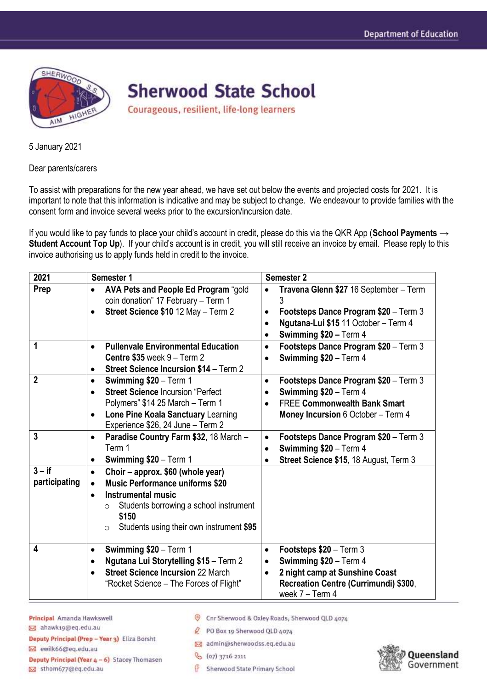

**Sherwood State School** 

Courageous, resilient, life-long learners

5 January 2021

Dear parents/carers

To assist with preparations for the new year ahead, we have set out below the events and projected costs for 2021. It is important to note that this information is indicative and may be subject to change. We endeavour to provide families with the consent form and invoice several weeks prior to the excursion/incursion date.

If you would like to pay funds to place your child's account in credit, please do this via the QKR App (**School Payments** → **Student Account Top Up**). If your child's account is in credit, you will still receive an invoice by email. Please reply to this invoice authorising us to apply funds held in credit to the invoice.

| 2021                      | Semester 1                                                                                                                                                                                                                                              | <b>Semester 2</b>                                                                                                                                                                                     |
|---------------------------|---------------------------------------------------------------------------------------------------------------------------------------------------------------------------------------------------------------------------------------------------------|-------------------------------------------------------------------------------------------------------------------------------------------------------------------------------------------------------|
| Prep                      | AVA Pets and People Ed Program "gold<br>$\bullet$<br>coin donation" 17 February - Term 1<br>Street Science \$10 12 May - Term 2<br>$\bullet$                                                                                                            | Travena Glenn \$27 16 September - Term<br>$\bullet$<br>Footsteps Dance Program \$20 - Term 3<br>$\bullet$<br>Ngutana-Lui \$15 11 October - Term 4<br>$\bullet$<br>Swimming \$20 - Term 4<br>$\bullet$ |
| 1                         | <b>Pullenvale Environmental Education</b><br>$\bullet$<br>Centre $$35$ week $9 - Term 2$<br><b>Street Science Incursion \$14 - Term 2</b><br>$\bullet$                                                                                                  | Footsteps Dance Program \$20 - Term 3<br>$\bullet$<br>Swimming \$20 - Term 4<br>$\bullet$                                                                                                             |
| $\overline{2}$            | Swimming \$20 - Term 1<br>$\bullet$<br><b>Street Science Incursion "Perfect</b><br>Polymers" \$14 25 March - Term 1<br>Lone Pine Koala Sanctuary Learning<br>$\bullet$<br>Experience \$26, 24 June - Term 2                                             | Footsteps Dance Program \$20 - Term 3<br>$\bullet$<br>Swimming \$20 - Term 4<br>$\bullet$<br><b>FREE Commonwealth Bank Smart</b><br>$\bullet$<br>Money Incursion 6 October - Term 4                   |
| $\mathbf{3}$              | Paradise Country Farm \$32, 18 March -<br>$\bullet$<br>Term 1<br>Swimming \$20 - Term 1                                                                                                                                                                 | Footsteps Dance Program \$20 - Term 3<br>$\bullet$<br>Swimming \$20 - Term 4<br>$\bullet$<br>Street Science \$15, 18 August, Term 3                                                                   |
| $3 - if$<br>participating | Choir - approx. \$60 (whole year)<br>$\bullet$<br><b>Music Performance uniforms \$20</b><br>$\bullet$<br><b>Instrumental music</b><br>Students borrowing a school instrument<br>$\circ$<br>\$150<br>Students using their own instrument \$95<br>$\circ$ |                                                                                                                                                                                                       |
| 4                         | Swimming \$20 - Term 1<br>$\bullet$<br>Ngutana Lui Storytelling \$15 - Term 2<br>$\bullet$<br><b>Street Science Incursion 22 March</b><br>"Rocket Science – The Forces of Flight"                                                                       | Footsteps \$20 - Term 3<br>$\bullet$<br>Swimming \$20 - Term 4<br>$\bullet$<br>2 night camp at Sunshine Coast<br>$\bullet$<br>Recreation Centre (Currimundi) \$300,<br>week $7 - Term 4$              |

Principal Amanda Hawkswell **Do** ahawk19@eq.edu.au

Cnr Sherwood & Oxley Roads, Sherwood QLD 4074

PO Box 19 Sherwood QLD 4074 admin@sherwoodss.eq.edu.au

Deputy Principal (Prep - Year 3) Eliza Borsht

M ewilk66@eq.edu.au

Deputy Principal (Year 4 - 6) Stacey Thomasen 5thom677@eq.edu.au

G Sherwood State Primary School

& (07) 3716 2111